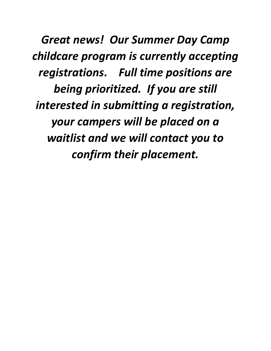*Great news! Our Summer Day Camp childcare program is currently accepting registrations. Full time positions are being prioritized. If you are still interested in submitting a registration, your campers will be placed on a waitlist and we will contact you to confirm their placement.*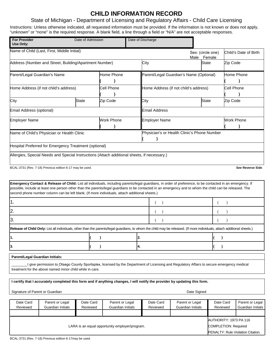## **CHILD INFORMATION RECORD**

## State of Michigan - Department of Licensing and Regulatory Affairs - Child Care Licensing

Instructions: Unless otherwise indicated, all requested information must be provided. If the information is not known or does not apply, "unknown" or "none" is the required response. A blank field, a line through a field or "N/A" are not acceptable responses.

| <b>For Provider</b><br>Date of Admission<br>Use Only:                                     |                                                                                                                                                                                                                                                                                                                                                                                                                         |                       |                   | Date of Discharge                     |                                         |                                      |                             |                                                       |                                      |  |
|-------------------------------------------------------------------------------------------|-------------------------------------------------------------------------------------------------------------------------------------------------------------------------------------------------------------------------------------------------------------------------------------------------------------------------------------------------------------------------------------------------------------------------|-----------------------|-------------------|---------------------------------------|-----------------------------------------|--------------------------------------|-----------------------------|-------------------------------------------------------|--------------------------------------|--|
|                                                                                           | Name of Child (Last, First, Middle Initial)                                                                                                                                                                                                                                                                                                                                                                             |                       |                   |                                       |                                         | Male                                 | Sex: (circle one)<br>Female |                                                       | Child's Date of Birth                |  |
| Address (Number and Street, Building/Apartment Number)                                    |                                                                                                                                                                                                                                                                                                                                                                                                                         |                       |                   |                                       | City                                    |                                      | <b>State</b>                | Zip Code                                              |                                      |  |
| Parent/Legal Guardian's Name                                                              |                                                                                                                                                                                                                                                                                                                                                                                                                         |                       | Home Phone        |                                       | Parent/Legal Guardian's Name (Optional) |                                      |                             |                                                       | Home Phone                           |  |
| Home Address (if not child's address)                                                     |                                                                                                                                                                                                                                                                                                                                                                                                                         | Cell Phone            |                   | Home Address (if not child's address) |                                         |                                      |                             | <b>Cell Phone</b>                                     |                                      |  |
| City                                                                                      |                                                                                                                                                                                                                                                                                                                                                                                                                         | <b>State</b>          | Zip Code          |                                       | City                                    |                                      | <b>State</b>                | Zip Code                                              |                                      |  |
| Email Address (optional)                                                                  |                                                                                                                                                                                                                                                                                                                                                                                                                         |                       |                   |                                       | <b>Email Address</b>                    |                                      |                             |                                                       |                                      |  |
| <b>Employer Name</b>                                                                      |                                                                                                                                                                                                                                                                                                                                                                                                                         |                       | <b>Work Phone</b> |                                       | <b>Employer Name</b>                    |                                      |                             |                                                       | <b>Work Phone</b>                    |  |
| Physician's or Health Clinic's Phone Number<br>Name of Child's Physician or Health Clinic |                                                                                                                                                                                                                                                                                                                                                                                                                         |                       |                   |                                       |                                         |                                      |                             |                                                       |                                      |  |
|                                                                                           | Hospital Preferred for Emergency Treatment (optional)                                                                                                                                                                                                                                                                                                                                                                   |                       |                   |                                       |                                         |                                      |                             |                                                       |                                      |  |
|                                                                                           | Allergies, Special Needs and Special Instructions (Attach additional sheets, if necessary.)                                                                                                                                                                                                                                                                                                                             |                       |                   |                                       |                                         |                                      |                             |                                                       |                                      |  |
|                                                                                           | BCAL-3731 (Rev. 7-18) Previous edition 6-17 may be used.                                                                                                                                                                                                                                                                                                                                                                |                       |                   |                                       |                                         |                                      |                             |                                                       | See Reverse Side                     |  |
|                                                                                           | Emergency Contact & Release of Child: List all individuals, including parents/legal guardians, in order of preference, to be contacted in an emergency. If<br>possible, include at least one person other than the parents/legal guardians to be contacted in an emergency and to whom the child can be released. The<br>second phone number column can be left blank. (If more individuals, attach additional sheets.) |                       |                   |                                       |                                         |                                      |                             |                                                       |                                      |  |
| 1.                                                                                        |                                                                                                                                                                                                                                                                                                                                                                                                                         |                       |                   |                                       | $\lambda$                               |                                      |                             |                                                       |                                      |  |
| 2.                                                                                        |                                                                                                                                                                                                                                                                                                                                                                                                                         |                       |                   |                                       |                                         |                                      |                             |                                                       |                                      |  |
| 3.                                                                                        |                                                                                                                                                                                                                                                                                                                                                                                                                         |                       |                   |                                       |                                         |                                      |                             |                                                       |                                      |  |
|                                                                                           | Release of Child Only: List all individuals, other than the parents/legal guardians, to whom the child may be released. (If more individuals, attach additional sheets.)                                                                                                                                                                                                                                                |                       |                   |                                       |                                         |                                      |                             |                                                       |                                      |  |
| 11.                                                                                       |                                                                                                                                                                                                                                                                                                                                                                                                                         |                       | $\lambda$         |                                       | 2.                                      |                                      |                             |                                                       |                                      |  |
| 3.                                                                                        |                                                                                                                                                                                                                                                                                                                                                                                                                         |                       | $\lambda$         |                                       | 4.                                      |                                      |                             |                                                       |                                      |  |
| Parent/Legal Guardian Initials:                                                           |                                                                                                                                                                                                                                                                                                                                                                                                                         |                       |                   |                                       |                                         |                                      |                             |                                                       |                                      |  |
|                                                                                           | I give permission to Otsego County Sportsplex, licensed by the Department of Licensing and Regulatory Affairs to secure emergency medical<br>treatment for the above named minor child while in care.                                                                                                                                                                                                                   |                       |                   |                                       |                                         |                                      |                             |                                                       |                                      |  |
|                                                                                           | I certify that I accurately completed this form and if anything changes, I will notify the provider by updating this form.                                                                                                                                                                                                                                                                                              |                       |                   |                                       |                                         |                                      |                             |                                                       |                                      |  |
| Signature of Parent or Guardian                                                           |                                                                                                                                                                                                                                                                                                                                                                                                                         |                       |                   |                                       |                                         | Date Signed                          |                             |                                                       |                                      |  |
| Date Card<br>Reviewed                                                                     | Parent or Legal<br>Guardian Initials                                                                                                                                                                                                                                                                                                                                                                                    | Date Card<br>Reviewed |                   | Parent or Legal<br>Guardian Initials  | Date Card<br>Reviewed                   | Parent or Legal<br>Guardian Initials |                             | Date Card<br>Reviewed                                 | Parent or Legal<br>Guardian Initials |  |
| LARA is an equal opportunity employer/program.                                            |                                                                                                                                                                                                                                                                                                                                                                                                                         |                       |                   |                                       |                                         |                                      |                             | AUTHORITY: 1973 PA 116<br><b>COMPLETION: Required</b> |                                      |  |

LARA is an equal opportunity employer/program.

PENALTY: Rule Violation Citation.